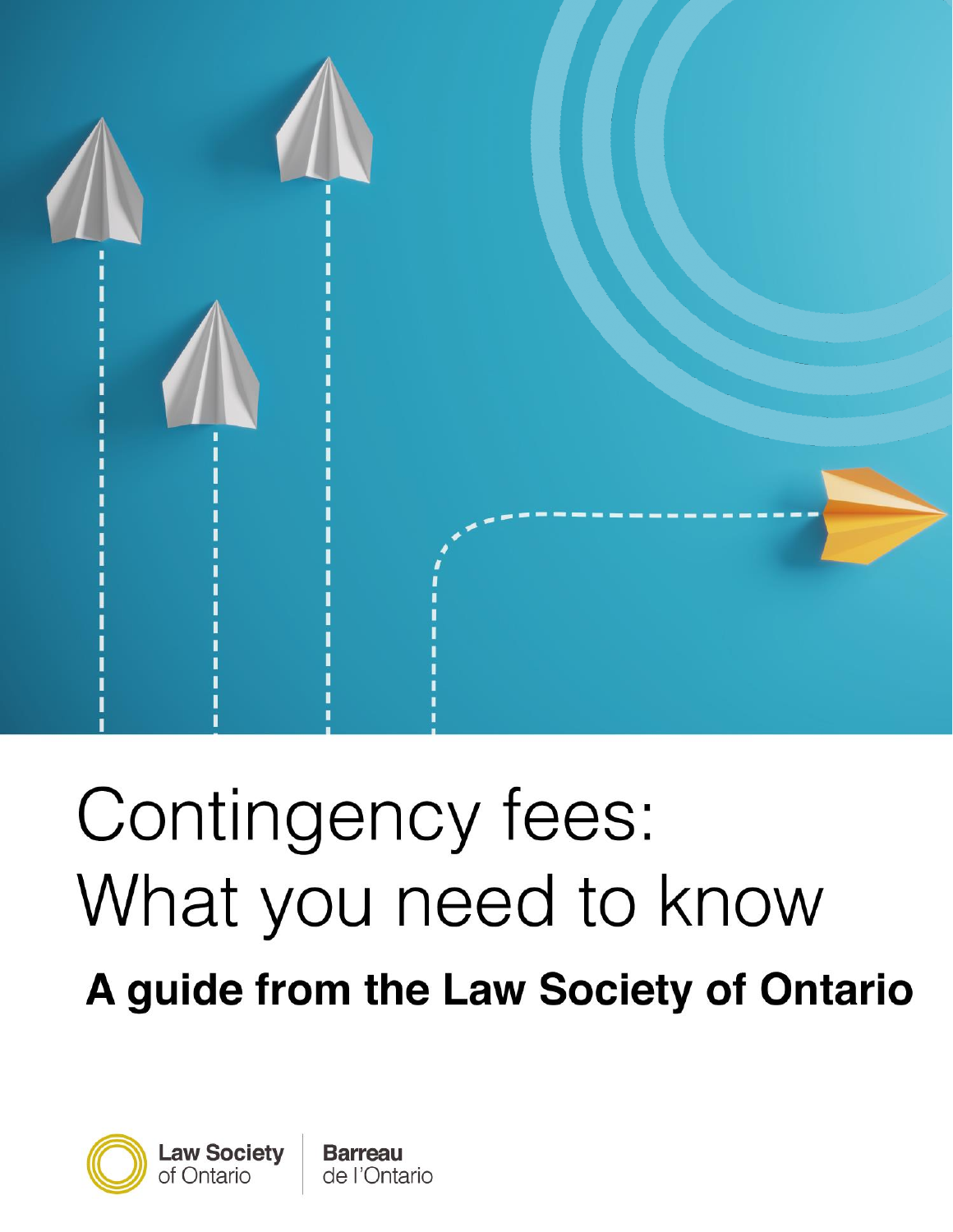

# Contingency fees: What you need to know A guide from the Law Society of Ontario

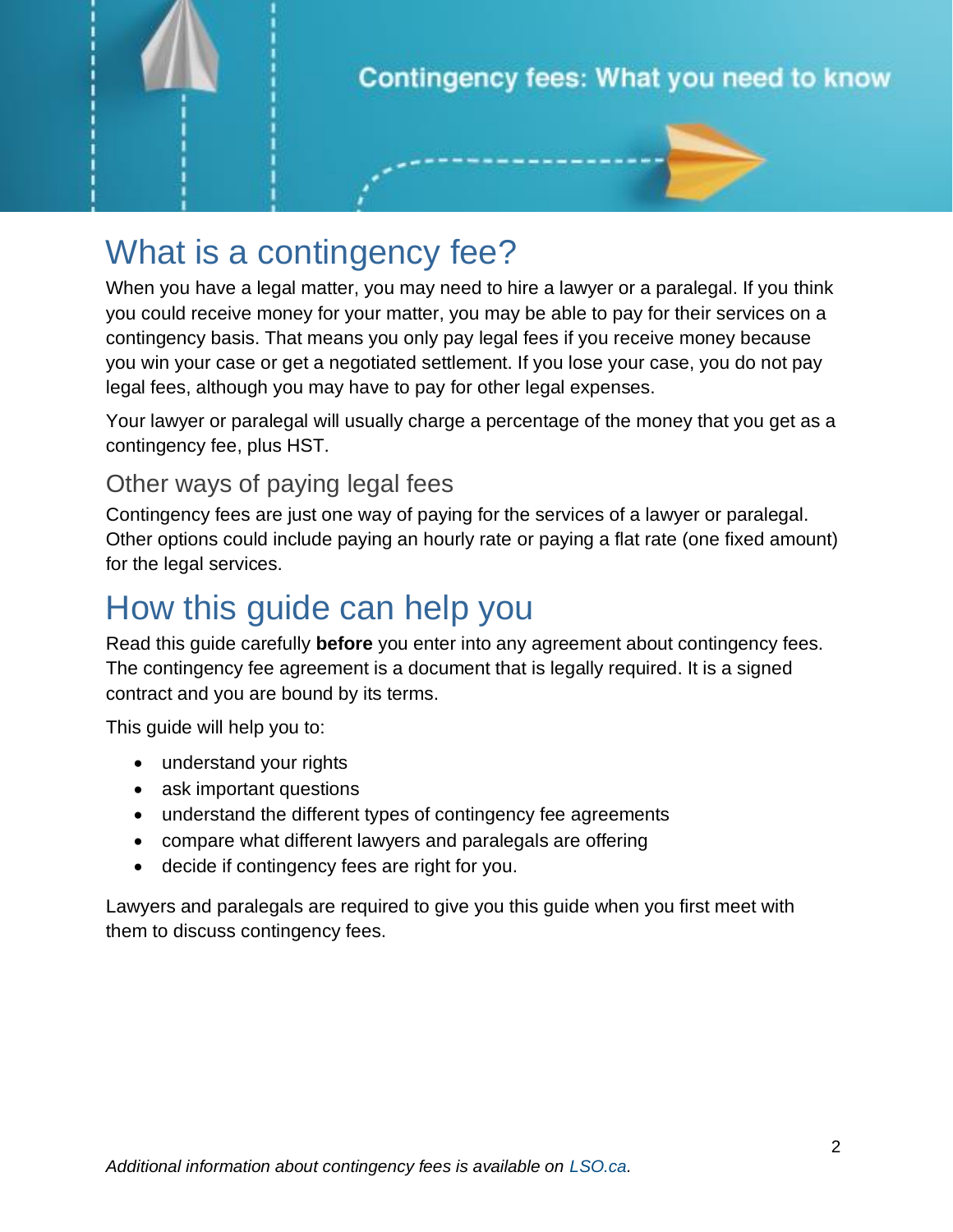

# What is a contingency fee?

When you have a legal matter, you may need to hire a lawyer or a paralegal. If you think you could receive money for your matter, you may be able to pay for their services on a contingency basis. That means you only pay legal fees if you receive money because you win your case or get a negotiated settlement. If you lose your case, you do not pay legal fees, although you may have to pay for other legal expenses.

Your lawyer or paralegal will usually charge a percentage of the money that you get as a contingency fee, plus HST.

#### Other ways of paying legal fees

Contingency fees are just one way of paying for the services of a lawyer or paralegal. Other options could include paying an hourly rate or paying a flat rate (one fixed amount) for the legal services.

### How this guide can help you

Read this guide carefully **before** you enter into any agreement about contingency fees. The contingency fee agreement is a document that is legally required. It is a signed contract and you are bound by its terms.

This guide will help you to:

- understand your rights
- ask important questions
- understand the different types of contingency fee agreements
- compare what different lawyers and paralegals are offering
- decide if contingency fees are right for you.

Lawyers and paralegals are required to give you this guide when you first meet with them to discuss contingency fees.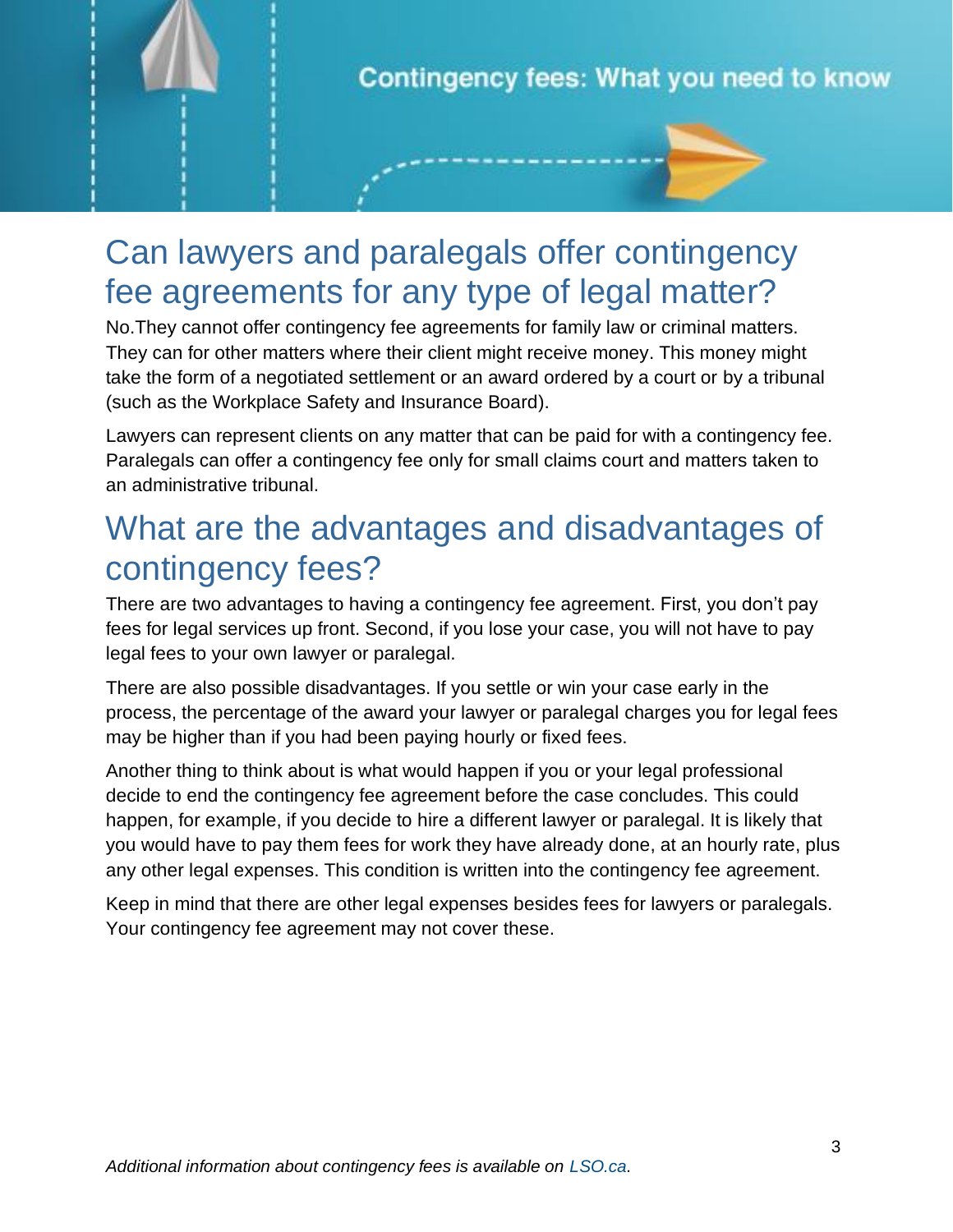

# Can lawyers and paralegals offer contingency fee agreements for any type of legal matter?

No.They cannot offer contingency fee agreements for family law or criminal matters. They can for other matters where their client might receive money. This money might take the form of a negotiated settlement or an award ordered by a court or by a tribunal (such as the Workplace Safety and Insurance Board).

Lawyers can represent clients on any matter that can be paid for with a contingency fee. Paralegals can offer a contingency fee only for small claims court and matters taken to an administrative tribunal.

### What are the advantages and disadvantages of contingency fees?

There are two advantages to having a contingency fee agreement. First, you don't pay fees for legal services up front. Second, if you lose your case, you will not have to pay legal fees to your own lawyer or paralegal.

There are also possible disadvantages. If you settle or win your case early in the process, the percentage of the award your lawyer or paralegal charges you for legal fees may be higher than if you had been paying hourly or fixed fees.

Another thing to think about is what would happen if you or your legal professional decide to end the contingency fee agreement before the case concludes. This could happen, for example, if you decide to hire a different lawyer or paralegal. It is likely that you would have to pay them fees for work they have already done, at an hourly rate, plus any other legal expenses. This condition is written into the contingency fee agreement.

Keep in mind that there are other legal expenses besides fees for lawyers or paralegals. Your contingency fee agreement may not cover these.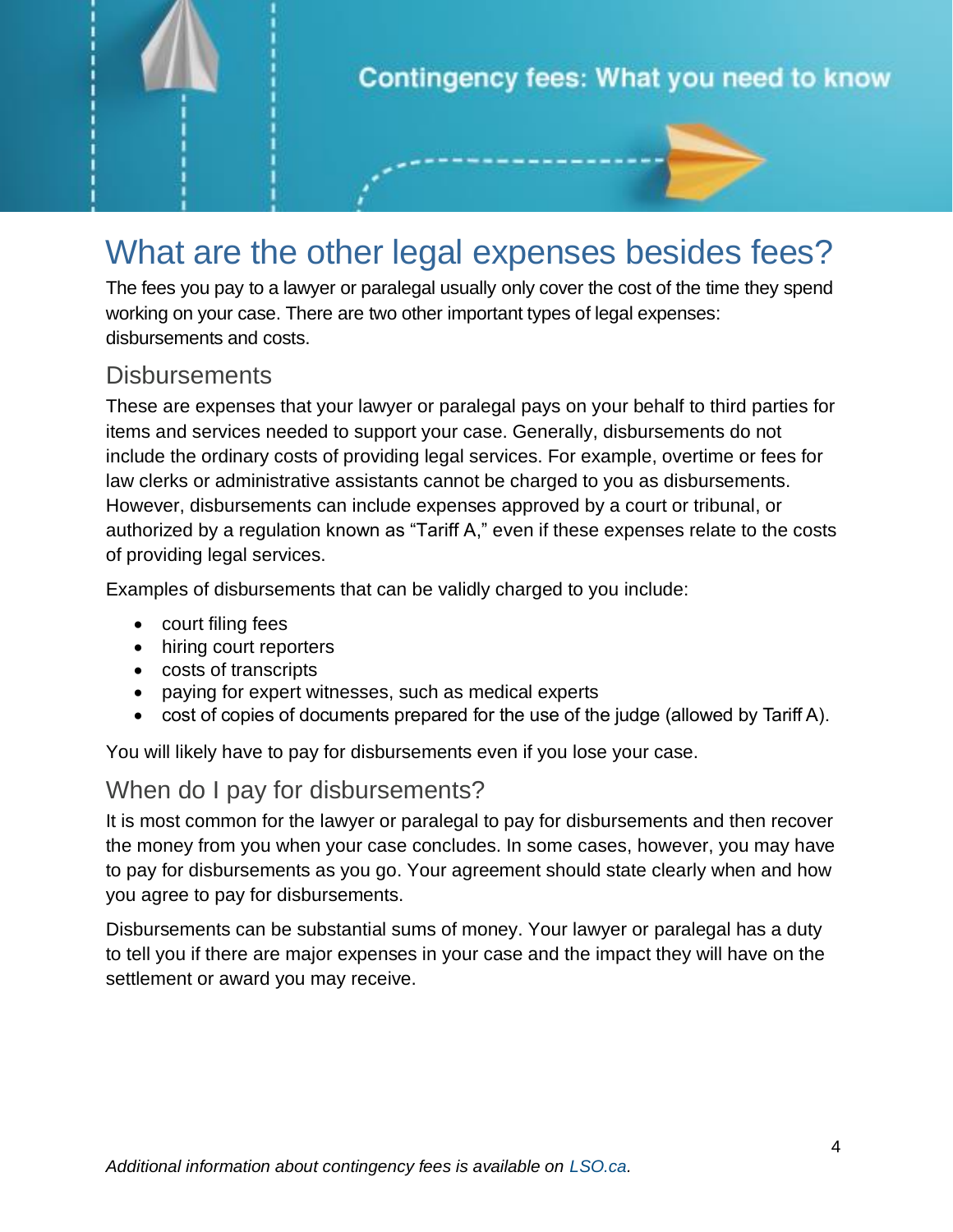

# What are the other legal expenses besides fees?

The fees you pay to a lawyer or paralegal usually only cover the cost of the time they spend working on your case. There are two other important types of legal expenses: disbursements and costs.

#### **Disbursements**

These are expenses that your lawyer or paralegal pays on your behalf to third parties for items and services needed to support your case. Generally, disbursements do not include the ordinary costs of providing legal services. For example, overtime or fees for law clerks or administrative assistants cannot be charged to you as disbursements. However, disbursements can include expenses approved by a court or tribunal, or authorized by a regulation known as "Tariff A," even if these expenses relate to the costs of providing legal services.

Examples of disbursements that can be validly charged to you include:

- court filing fees
- hiring court reporters
- costs of transcripts
- paying for expert witnesses, such as medical experts
- cost of copies of documents prepared for the use of the judge (allowed by Tariff A).

You will likely have to pay for disbursements even if you lose your case.

#### When do I pay for disbursements?

It is most common for the lawyer or paralegal to pay for disbursements and then recover the money from you when your case concludes. In some cases, however, you may have to pay for disbursements as you go. Your agreement should state clearly when and how you agree to pay for disbursements.

Disbursements can be substantial sums of money. Your lawyer or paralegal has a duty to tell you if there are major expenses in your case and the impact they will have on the settlement or award you may receive.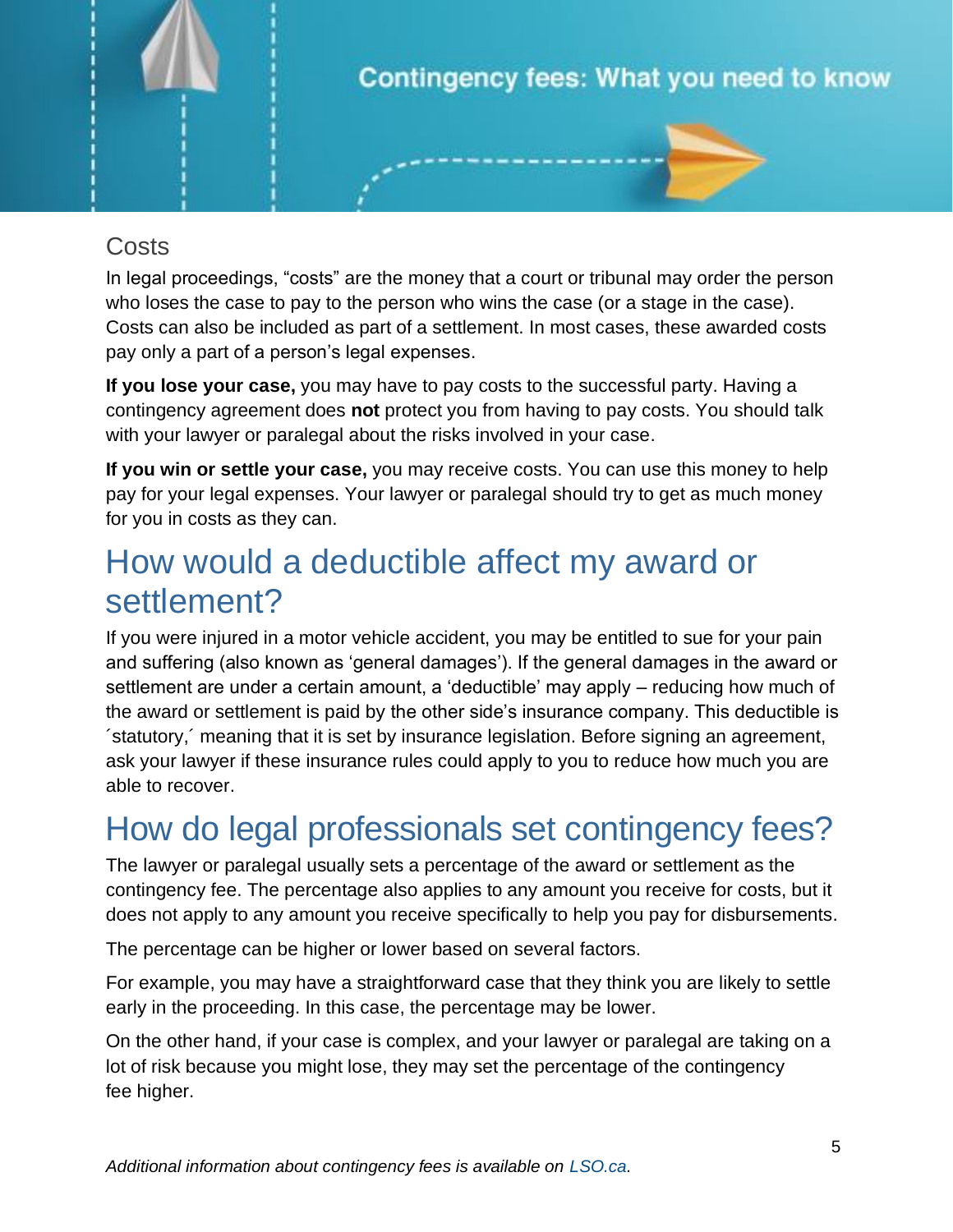

#### Costs

In legal proceedings, "costs" are the money that a court or tribunal may order the person who loses the case to pay to the person who wins the case (or a stage in the case). Costs can also be included as part of a settlement. In most cases, these awarded costs pay only a part of a person's legal expenses.

**If you lose your case,** you may have to pay costs to the successful party. Having a contingency agreement does **not** protect you from having to pay costs. You should talk with your lawyer or paralegal about the risks involved in your case.

**If you win or settle your case,** you may receive costs. You can use this money to help pay for your legal expenses. Your lawyer or paralegal should try to get as much money for you in costs as they can.

### How would a deductible affect my award or settlement?

If you were injured in a motor vehicle accident, you may be entitled to sue for your pain and suffering (also known as 'general damages'). If the general damages in the award or settlement are under a certain amount, a 'deductible' may apply – reducing how much of the award or settlement is paid by the other side's insurance company. This deductible is ´statutory,´ meaning that it is set by insurance legislation. Before signing an agreement, ask your lawyer if these insurance rules could apply to you to reduce how much you are able to recover.

# How do legal professionals set contingency fees?

The lawyer or paralegal usually sets a percentage of the award or settlement as the contingency fee. The percentage also applies to any amount you receive for costs, but it does not apply to any amount you receive specifically to help you pay for disbursements.

The percentage can be higher or lower based on several factors.

For example, you may have a straightforward case that they think you are likely to settle early in the proceeding. In this case, the percentage may be lower.

On the other hand, if your case is complex, and your lawyer or paralegal are taking on a lot of risk because you might lose, they may set the percentage of the contingency fee higher.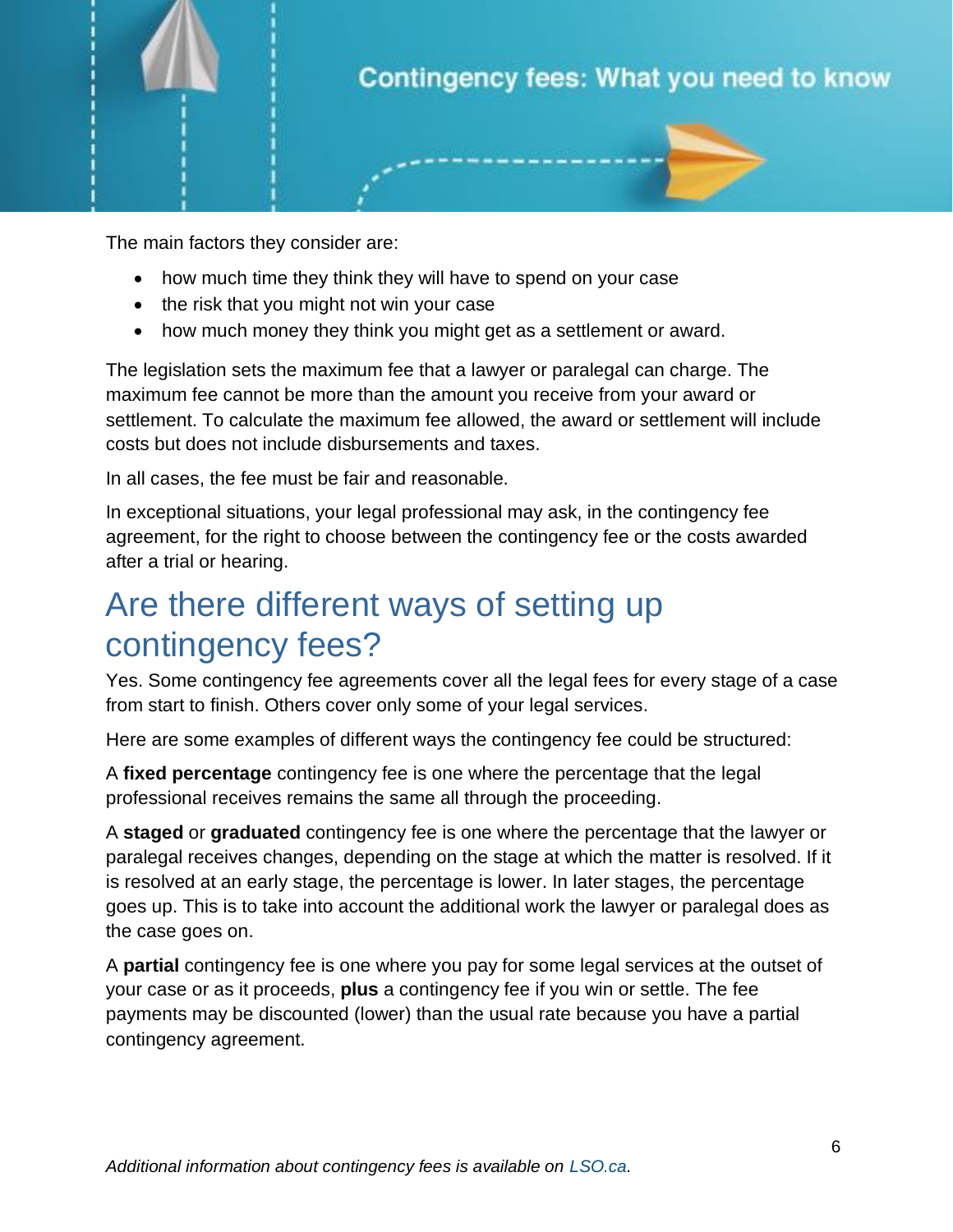

The main factors they consider are:

- how much time they think they will have to spend on your case
- the risk that you might not win your case
- how much money they think you might get as a settlement or award.

The legislation sets the maximum fee that a lawyer or paralegal can charge. The maximum fee cannot be more than the amount you receive from your award or settlement. To calculate the maximum fee allowed, the award or settlement will include costs but does not include disbursements and taxes.

In all cases, the fee must be fair and reasonable.

In exceptional situations, your legal professional may ask, in the contingency fee agreement, for the right to choose between the contingency fee or the costs awarded after a trial or hearing.

# Are there different ways of setting up contingency fees?

Yes. Some contingency fee agreements cover all the legal fees for every stage of a case from start to finish. Others cover only some of your legal services.

Here are some examples of different ways the contingency fee could be structured:

A **fixed percentage** contingency fee is one where the percentage that the legal professional receives remains the same all through the proceeding.

A **staged** or **graduated** contingency fee is one where the percentage that the lawyer or paralegal receives changes, depending on the stage at which the matter is resolved. If it is resolved at an early stage, the percentage is lower. In later stages, the percentage goes up. This is to take into account the additional work the lawyer or paralegal does as the case goes on.

A **partial** contingency fee is one where you pay for some legal services at the outset of your case or as it proceeds, **plus** a contingency fee if you win or settle. The fee payments may be discounted (lower) than the usual rate because you have a partial contingency agreement.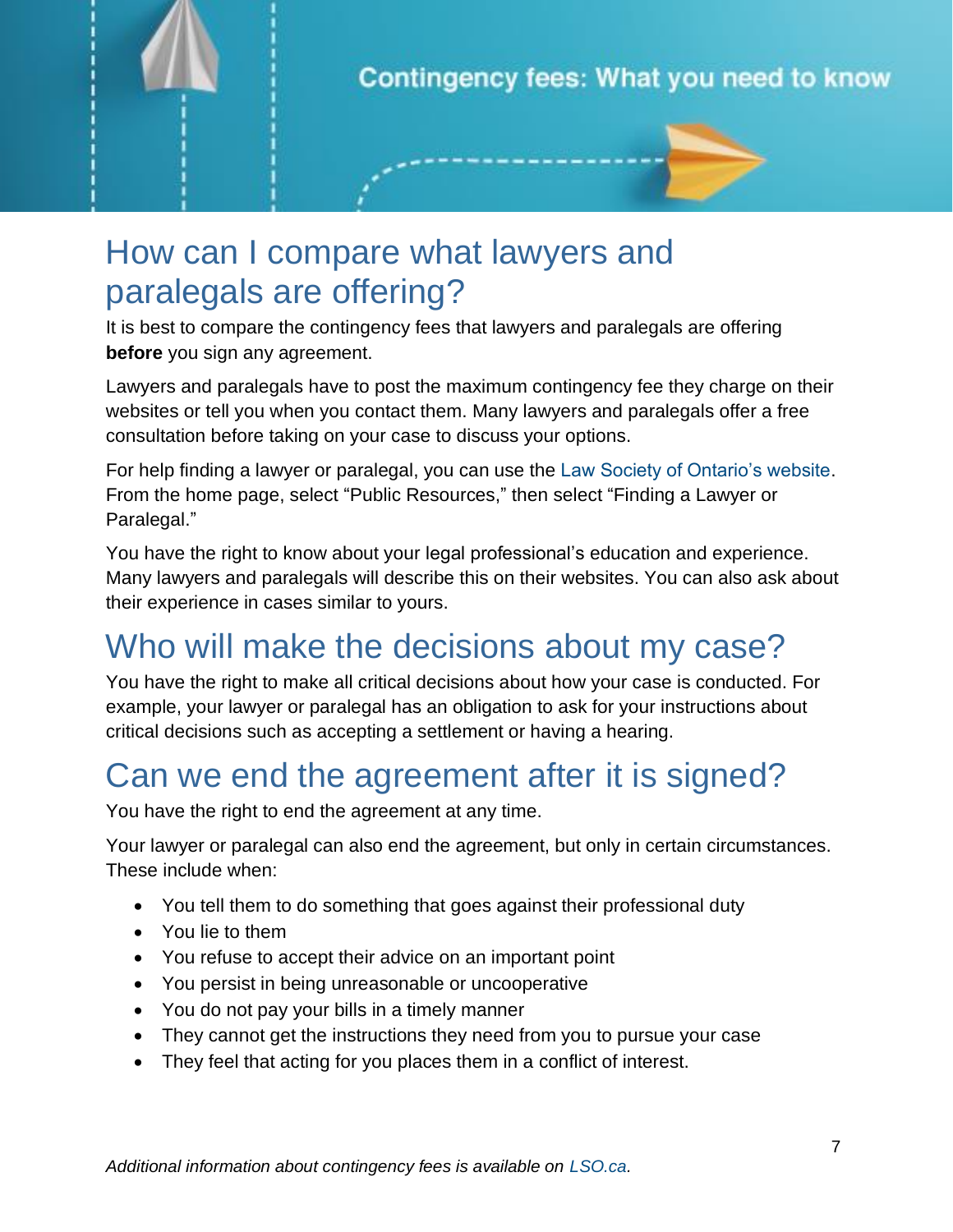

### How can I compare what lawyers and paralegals are offering?

It is best to compare the contingency fees that lawyers and paralegals are offering **before** you sign any agreement.

Lawyers and paralegals have to post the maximum contingency fee they charge on their websites or tell you when you contact them. Many lawyers and paralegals offer a free consultation before taking on your case to discuss your options.

For help finding a lawyer or paralegal, you can use the [Law Society of Ontario's website.](http://www.lso.ca/) From the home page, select "Public Resources," then select "Finding a Lawyer or Paralegal."

You have the right to know about your legal professional's education and experience. Many lawyers and paralegals will describe this on their websites. You can also ask about their experience in cases similar to yours.

# Who will make the decisions about my case?

You have the right to make all critical decisions about how your case is conducted. For example, your lawyer or paralegal has an obligation to ask for your instructions about critical decisions such as accepting a settlement or having a hearing.

### Can we end the agreement after it is signed?

You have the right to end the agreement at any time.

Your lawyer or paralegal can also end the agreement, but only in certain circumstances. These include when:

- You tell them to do something that goes against their professional duty
- You lie to them
- You refuse to accept their advice on an important point
- You persist in being unreasonable or uncooperative
- You do not pay your bills in a timely manner
- They cannot get the instructions they need from you to pursue your case
- They feel that acting for you places them in a conflict of interest.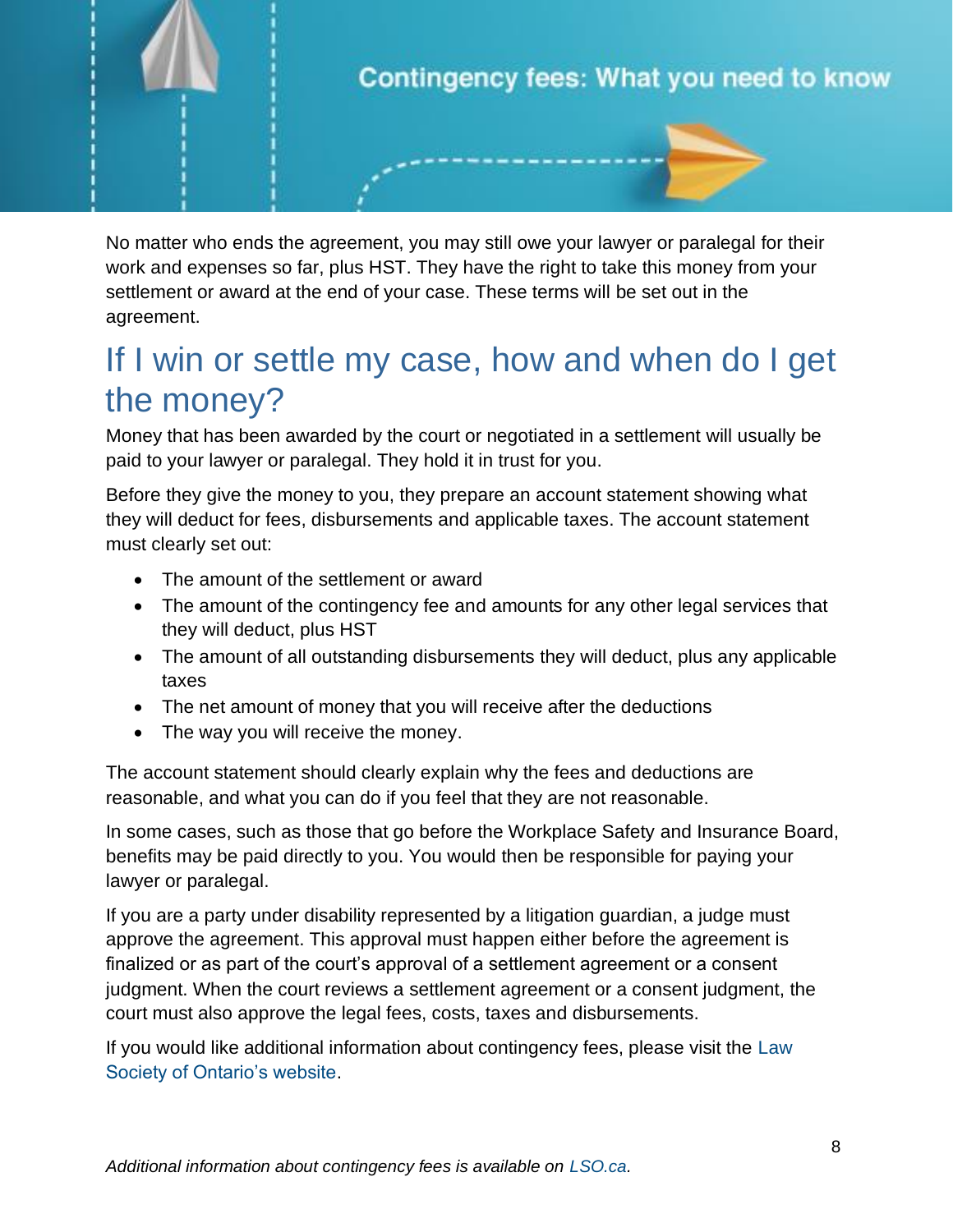

No matter who ends the agreement, you may still owe your lawyer or paralegal for their work and expenses so far, plus HST. They have the right to take this money from your settlement or award at the end of your case. These terms will be set out in the agreement.

### If I win or settle my case, how and when do I get the money?

Money that has been awarded by the court or negotiated in a settlement will usually be paid to your lawyer or paralegal. They hold it in trust for you.

Before they give the money to you, they prepare an account statement showing what they will deduct for fees, disbursements and applicable taxes. The account statement must clearly set out:

- The amount of the settlement or award
- The amount of the contingency fee and amounts for any other legal services that they will deduct, plus HST
- The amount of all outstanding disbursements they will deduct, plus any applicable taxes
- The net amount of money that you will receive after the deductions
- The way you will receive the money.

The account statement should clearly explain why the fees and deductions are reasonable, and what you can do if you feel that they are not reasonable.

In some cases, such as those that go before the Workplace Safety and Insurance Board, benefits may be paid directly to you. You would then be responsible for paying your lawyer or paralegal.

If you are a party under disability represented by a litigation guardian, a judge must approve the agreement. This approval must happen either before the agreement is finalized or as part of the court's approval of a settlement agreement or a consent judgment. When the court reviews a settlement agreement or a consent judgment, the court must also approve the legal fees, costs, taxes and disbursements.

If you would like additional information about contingency fees, please visit the [Law](https://lso.ca/getdoc/e6b83846-07d7-43f4-9865-da7e7a2755ac/contingency-fees)  [Society of Ontario's website.](https://lso.ca/getdoc/e6b83846-07d7-43f4-9865-da7e7a2755ac/contingency-fees)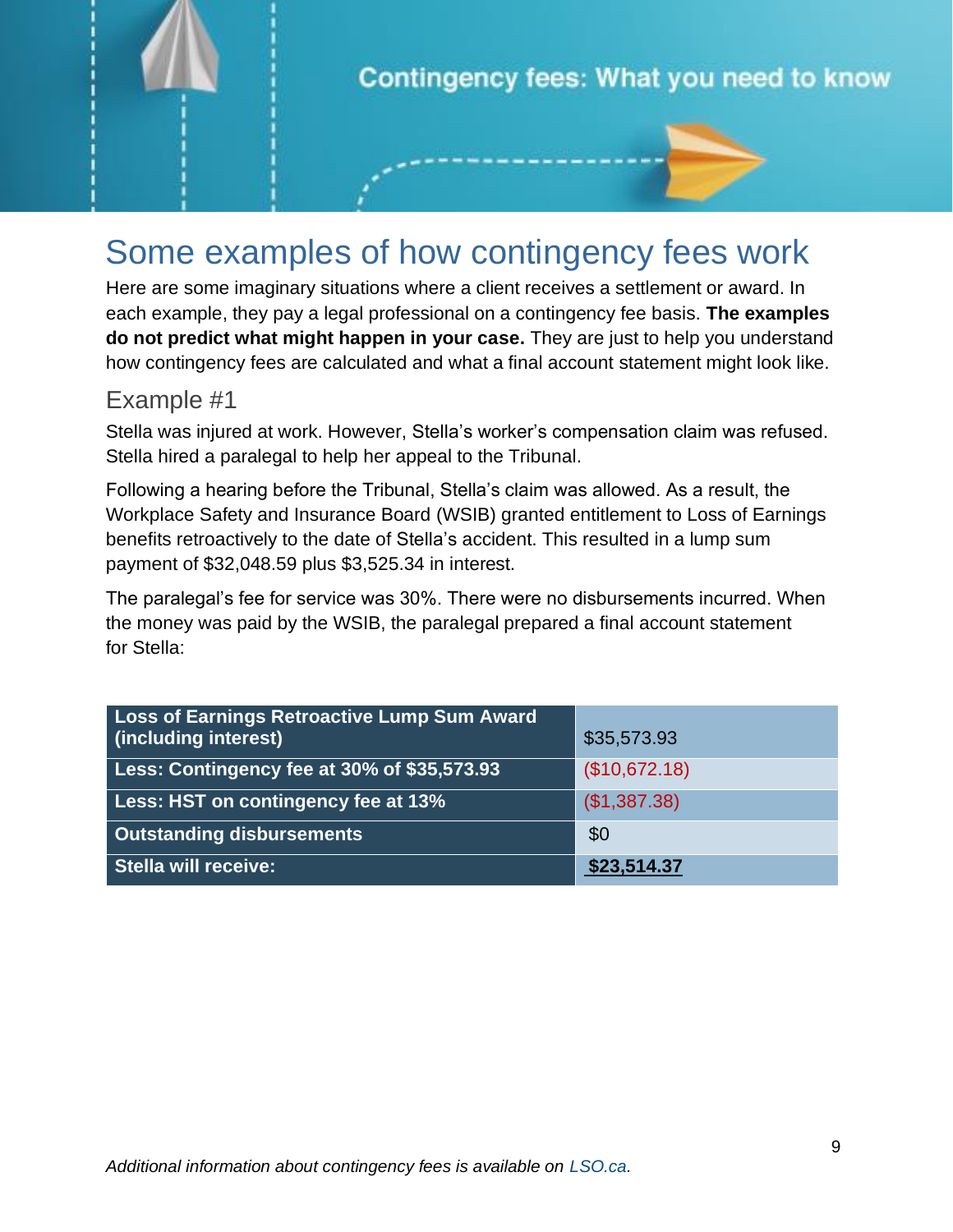

# Some examples of how contingency fees work

Here are some imaginary situations where a client receives a settlement or award. In each example, they pay a legal professional on a contingency fee basis. **The examples do not predict what might happen in your case.** They are just to help you understand how contingency fees are calculated and what a final account statement might look like.

#### Example #1

Stella was injured at work. However, Stella's worker's compensation claim was refused. Stella hired a paralegal to help her appeal to the Tribunal.

Following a hearing before the Tribunal, Stella's claim was allowed. As a result, the Workplace Safety and Insurance Board (WSIB) granted entitlement to Loss of Earnings benefits retroactively to the date of Stella's accident. This resulted in a lump sum payment of \$32,048.59 plus \$3,525.34 in interest.

The paralegal's fee for service was 30%. There were no disbursements incurred. When the money was paid by the WSIB, the paralegal prepared a final account statement for Stella:

| Loss of Earnings Retroactive Lump Sum Award<br>(including interest) | \$35,573.93   |
|---------------------------------------------------------------------|---------------|
| Less: Contingency fee at 30% of \$35,573.93                         | (\$10,672.18) |
| Less: HST on contingency fee at 13%                                 | (\$1,387.38)  |
| <b>Outstanding disbursements</b>                                    | \$0           |
| <b>Stella will receive:</b>                                         | \$23,514.37   |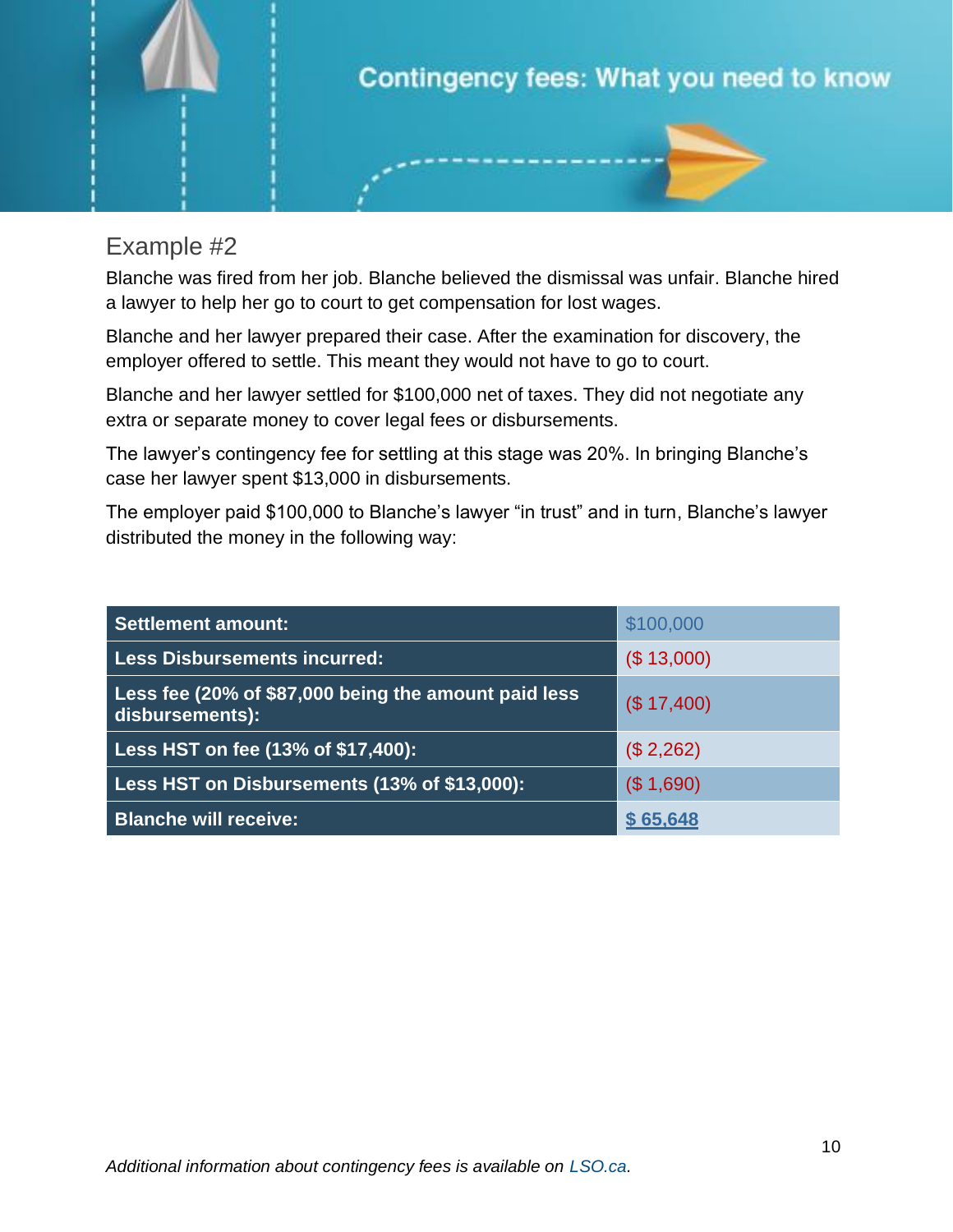

#### Example #2

Blanche was fired from her job. Blanche believed the dismissal was unfair. Blanche hired a lawyer to help her go to court to get compensation for lost wages.

Blanche and her lawyer prepared their case. After the examination for discovery, the employer offered to settle. This meant they would not have to go to court.

Blanche and her lawyer settled for \$100,000 net of taxes. They did not negotiate any extra or separate money to cover legal fees or disbursements.

The lawyer's contingency fee for settling at this stage was 20%. In bringing Blanche's case her lawyer spent \$13,000 in disbursements.

The employer paid \$100,000 to Blanche's lawyer "in trust" and in turn, Blanche's lawyer distributed the money in the following way:

| <b>Settlement amount:</b>                                               | \$100,000   |
|-------------------------------------------------------------------------|-------------|
| <b>Less Disbursements incurred:</b>                                     | (\$13,000)  |
| Less fee (20% of \$87,000 being the amount paid less<br>disbursements): | (\$ 17,400) |
| Less HST on fee (13% of \$17,400):                                      | (\$2,262)   |
| Less HST on Disbursements (13% of \$13,000):                            | (\$1,690)   |
| <b>Blanche will receive:</b>                                            | \$65,648    |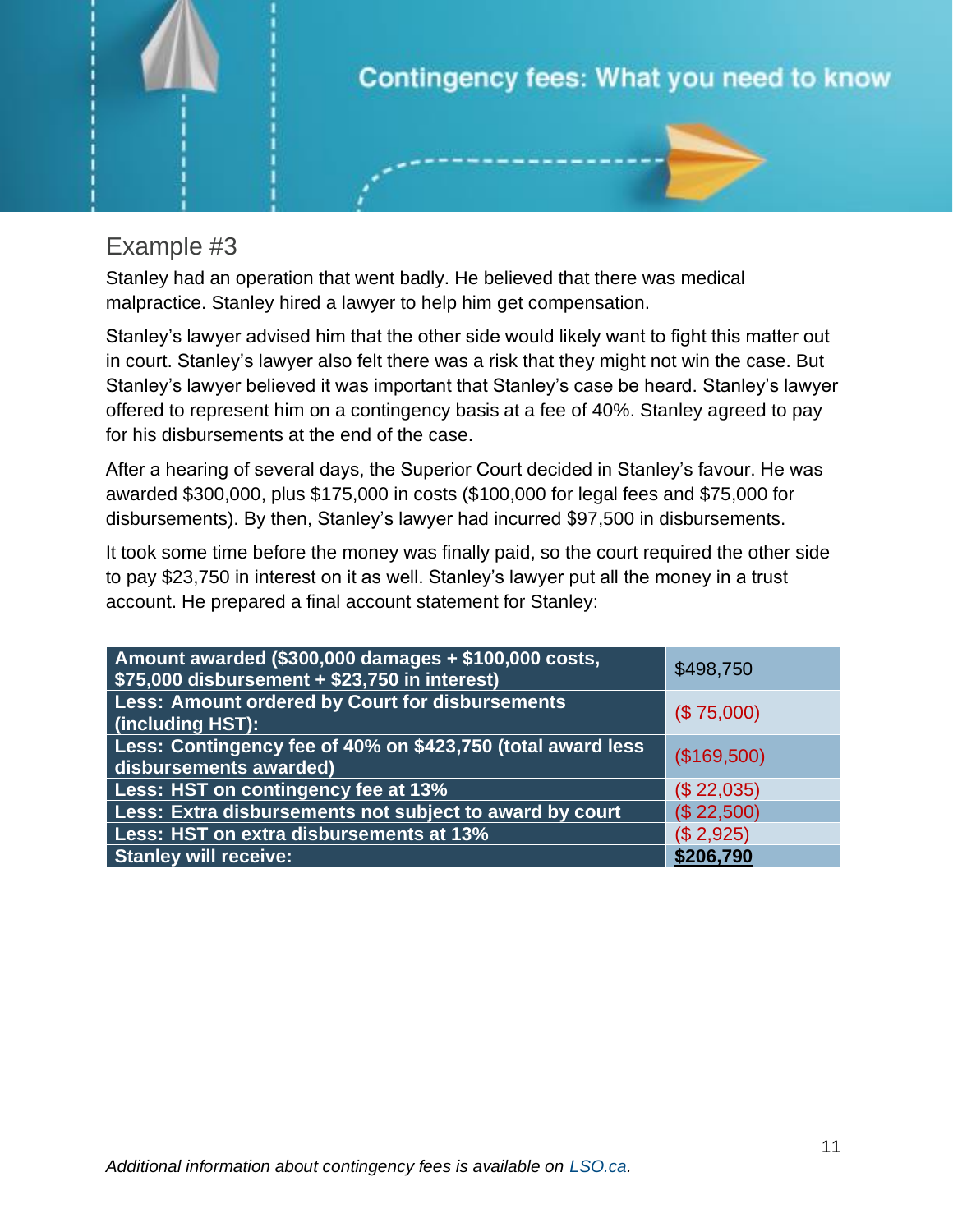

#### Example #3

Stanley had an operation that went badly. He believed that there was medical malpractice. Stanley hired a lawyer to help him get compensation.

Stanley's lawyer advised him that the other side would likely want to fight this matter out in court. Stanley's lawyer also felt there was a risk that they might not win the case. But Stanley's lawyer believed it was important that Stanley's case be heard. Stanley's lawyer offered to represent him on a contingency basis at a fee of 40%. Stanley agreed to pay for his disbursements at the end of the case.

After a hearing of several days, the Superior Court decided in Stanley's favour. He was awarded \$300,000, plus \$175,000 in costs (\$100,000 for legal fees and \$75,000 for disbursements). By then, Stanley's lawyer had incurred \$97,500 in disbursements.

It took some time before the money was finally paid, so the court required the other side to pay \$23,750 in interest on it as well. Stanley's lawyer put all the money in a trust account. He prepared a final account statement for Stanley:

| Amount awarded (\$300,000 damages + \$100,000 costs,<br>$\sqrt{575,000}$ disbursement + \$23,750 in interest) | \$498,750   |
|---------------------------------------------------------------------------------------------------------------|-------------|
| <b>Less: Amount ordered by Court for disbursements</b><br>(including HST):                                    | (\$75,000)  |
| Less: Contingency fee of 40% on \$423,750 (total award less<br>disbursements awarded)                         | (\$169,500) |
| Less: HST on contingency fee at 13%                                                                           | (\$22,035)  |
| Less: Extra disbursements not subject to award by court                                                       | (\$22,500)  |
| Less: HST on extra disbursements at 13%                                                                       | (\$2,925)   |
| <b>Stanley will receive:</b>                                                                                  | \$206,790   |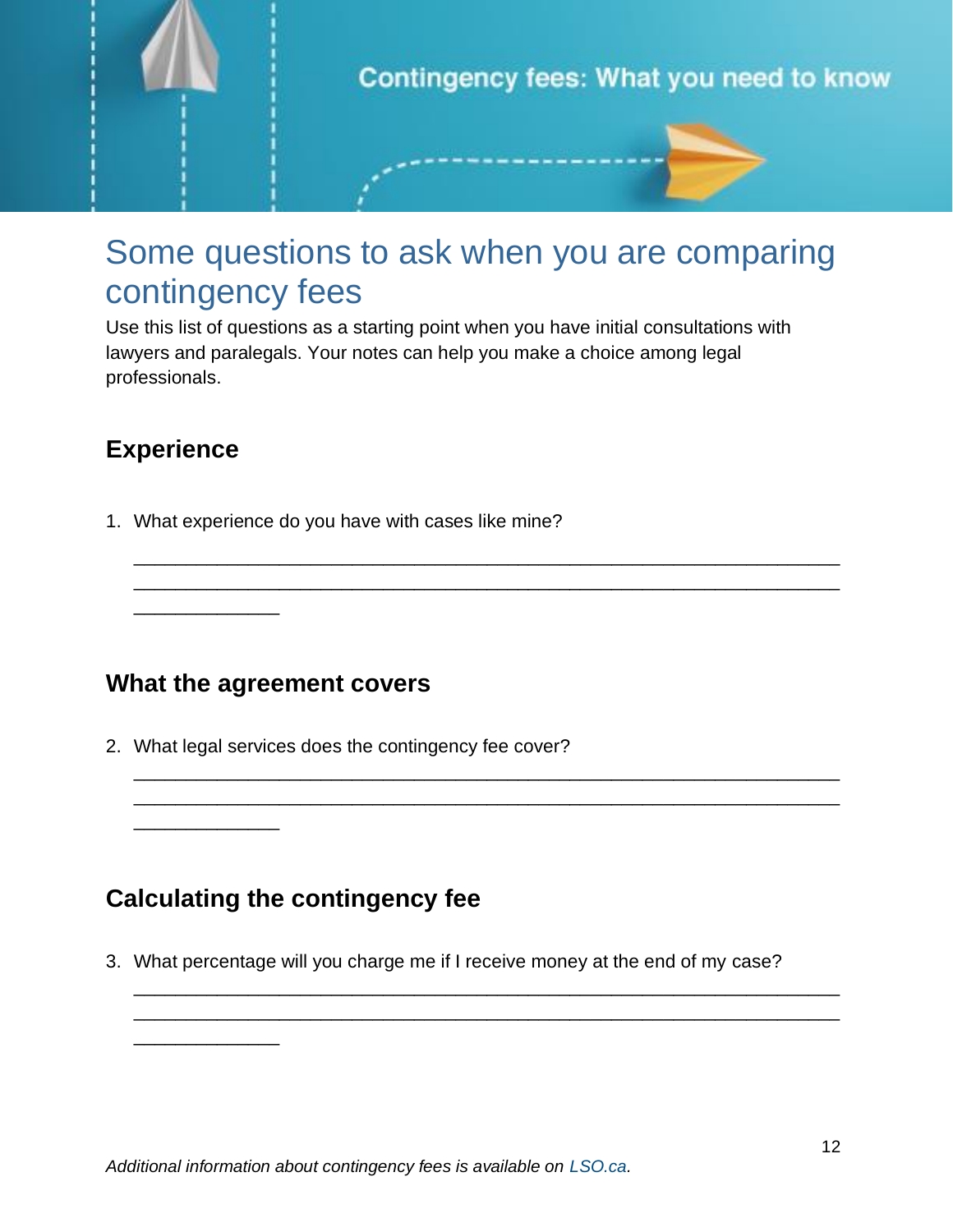

#### Some questions to ask when you are comparing contingency fees

\_\_\_\_\_\_\_\_\_\_\_\_\_\_\_\_\_\_\_\_\_\_\_\_\_\_\_\_\_\_\_\_\_\_\_\_\_\_\_\_\_\_\_\_\_\_\_\_\_\_\_\_\_\_\_\_\_\_\_\_\_\_\_\_\_\_\_\_ \_\_\_\_\_\_\_\_\_\_\_\_\_\_\_\_\_\_\_\_\_\_\_\_\_\_\_\_\_\_\_\_\_\_\_\_\_\_\_\_\_\_\_\_\_\_\_\_\_\_\_\_\_\_\_\_\_\_\_\_\_\_\_\_\_\_\_\_

\_\_\_\_\_\_\_\_\_\_\_\_\_\_\_\_\_\_\_\_\_\_\_\_\_\_\_\_\_\_\_\_\_\_\_\_\_\_\_\_\_\_\_\_\_\_\_\_\_\_\_\_\_\_\_\_\_\_\_\_\_\_\_\_\_\_\_\_ \_\_\_\_\_\_\_\_\_\_\_\_\_\_\_\_\_\_\_\_\_\_\_\_\_\_\_\_\_\_\_\_\_\_\_\_\_\_\_\_\_\_\_\_\_\_\_\_\_\_\_\_\_\_\_\_\_\_\_\_\_\_\_\_\_\_\_\_

\_\_\_\_\_\_\_\_\_\_\_\_\_\_\_\_\_\_\_\_\_\_\_\_\_\_\_\_\_\_\_\_\_\_\_\_\_\_\_\_\_\_\_\_\_\_\_\_\_\_\_\_\_\_\_\_\_\_\_\_\_\_\_\_\_\_\_\_ \_\_\_\_\_\_\_\_\_\_\_\_\_\_\_\_\_\_\_\_\_\_\_\_\_\_\_\_\_\_\_\_\_\_\_\_\_\_\_\_\_\_\_\_\_\_\_\_\_\_\_\_\_\_\_\_\_\_\_\_\_\_\_\_\_\_\_\_

Use this list of questions as a starting point when you have initial consultations with lawyers and paralegals. Your notes can help you make a choice among legal professionals.

#### **Experience**

\_\_\_\_\_\_\_\_\_\_\_\_\_\_

\_\_\_\_\_\_\_\_\_\_\_\_\_\_

\_\_\_\_\_\_\_\_\_\_\_\_\_\_

1. What experience do you have with cases like mine?

**What the agreement covers** 

2. What legal services does the contingency fee cover?

#### **Calculating the contingency fee**

3. What percentage will you charge me if I receive money at the end of my case?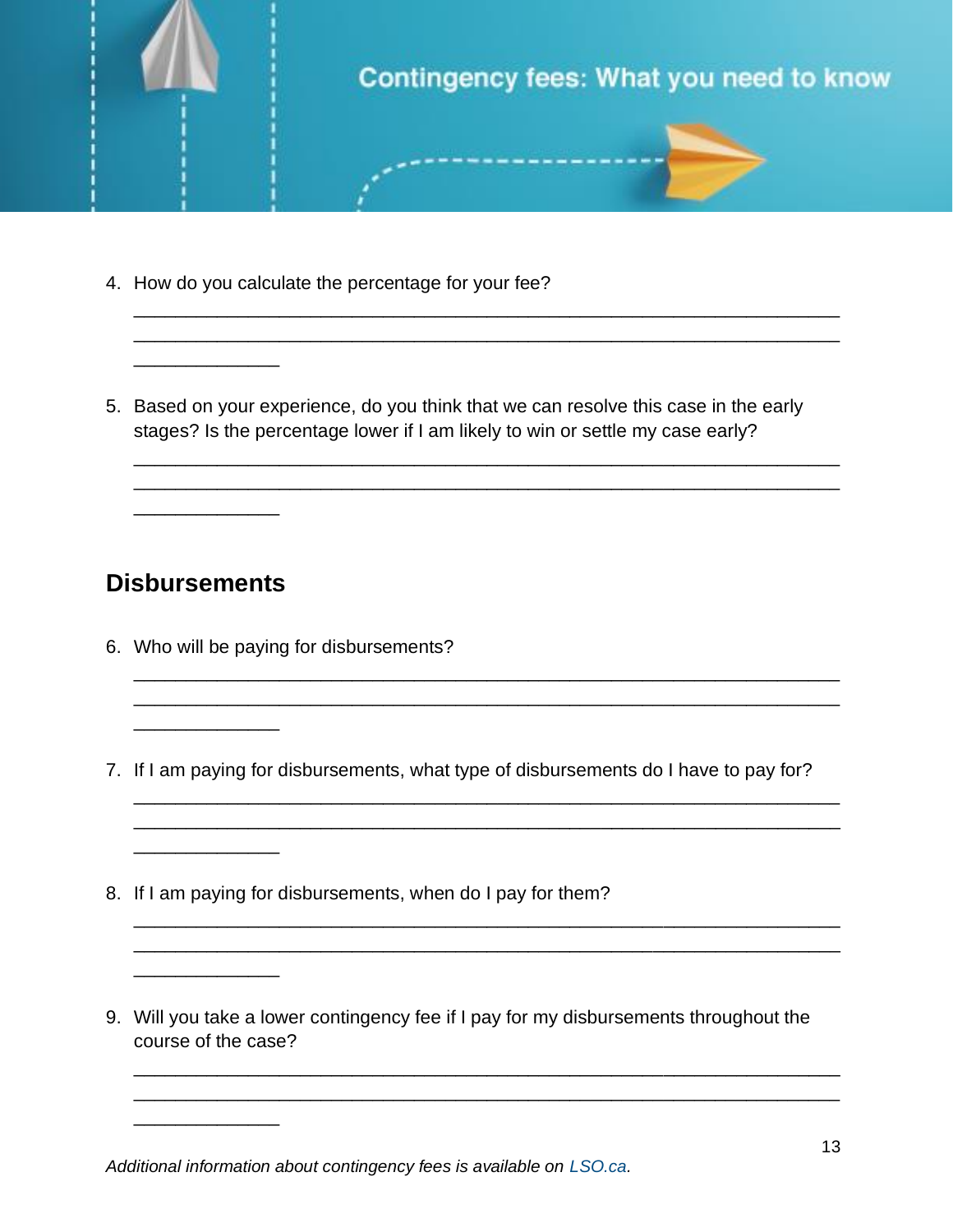

\_\_\_\_\_\_\_\_\_\_\_\_\_\_\_\_\_\_\_\_\_\_\_\_\_\_\_\_\_\_\_\_\_\_\_\_\_\_\_\_\_\_\_\_\_\_\_\_\_\_\_\_\_\_\_\_\_\_\_\_\_\_\_\_\_\_\_\_ \_\_\_\_\_\_\_\_\_\_\_\_\_\_\_\_\_\_\_\_\_\_\_\_\_\_\_\_\_\_\_\_\_\_\_\_\_\_\_\_\_\_\_\_\_\_\_\_\_\_\_\_\_\_\_\_\_\_\_\_\_\_\_\_\_\_\_\_

\_\_\_\_\_\_\_\_\_\_\_\_\_\_\_\_\_\_\_\_\_\_\_\_\_\_\_\_\_\_\_\_\_\_\_\_\_\_\_\_\_\_\_\_\_\_\_\_\_\_\_\_\_\_\_\_\_\_\_\_\_\_\_\_\_\_\_\_ \_\_\_\_\_\_\_\_\_\_\_\_\_\_\_\_\_\_\_\_\_\_\_\_\_\_\_\_\_\_\_\_\_\_\_\_\_\_\_\_\_\_\_\_\_\_\_\_\_\_\_\_\_\_\_\_\_\_\_\_\_\_\_\_\_\_\_\_

\_\_\_\_\_\_\_\_\_\_\_\_\_\_\_\_\_\_\_\_\_\_\_\_\_\_\_\_\_\_\_\_\_\_\_\_\_\_\_\_\_\_\_\_\_\_\_\_\_\_\_\_\_\_\_\_\_\_\_\_\_\_\_\_\_\_\_\_ \_\_\_\_\_\_\_\_\_\_\_\_\_\_\_\_\_\_\_\_\_\_\_\_\_\_\_\_\_\_\_\_\_\_\_\_\_\_\_\_\_\_\_\_\_\_\_\_\_\_\_\_\_\_\_\_\_\_\_\_\_\_\_\_\_\_\_\_

\_\_\_\_\_\_\_\_\_\_\_\_\_\_\_\_\_\_\_\_\_\_\_\_\_\_\_\_\_\_\_\_\_\_\_\_\_\_\_\_\_\_\_\_\_\_\_\_\_\_\_\_\_\_\_\_\_\_\_\_\_\_\_\_\_\_\_\_

\_\_\_\_\_\_\_\_\_\_\_\_\_\_\_\_\_\_\_\_\_\_\_\_\_\_\_\_\_\_\_\_\_\_\_\_\_\_\_\_\_\_\_\_\_\_\_\_\_\_\_\_\_\_\_\_\_\_\_\_\_\_\_\_\_\_\_\_ \_\_\_\_\_\_\_\_\_\_\_\_\_\_\_\_\_\_\_\_\_\_\_\_\_\_\_\_\_\_\_\_\_\_\_\_\_\_\_\_\_\_\_\_\_\_\_\_\_\_\_\_\_\_\_\_\_\_\_\_\_\_\_\_\_\_\_\_

\_\_\_\_\_\_\_\_\_\_\_\_\_\_\_\_\_\_\_\_\_\_\_\_\_\_\_\_\_\_\_\_\_\_\_\_\_\_\_\_\_\_\_\_\_\_\_\_\_\_\_\_\_\_\_\_\_\_\_\_\_\_\_\_\_\_\_\_ \_\_\_\_\_\_\_\_\_\_\_\_\_\_\_\_\_\_\_\_\_\_\_\_\_\_\_\_\_\_\_\_\_\_\_\_\_\_\_\_\_\_\_\_\_\_\_\_\_\_\_\_\_\_\_\_\_\_\_\_\_\_\_\_\_\_\_\_

\_\_\_\_\_\_\_\_\_\_\_\_\_\_\_\_\_\_\_\_\_\_\_\_\_\_\_\_\_\_\_\_\_\_\_\_\_\_\_\_\_\_\_\_\_\_\_\_\_\_\_\_\_\_\_\_\_\_\_\_\_\_\_\_\_\_\_\_

- 4. How do you calculate the percentage for your fee?
- 5. Based on your experience, do you think that we can resolve this case in the early stages? Is the percentage lower if I am likely to win or settle my case early?

#### **Disbursements**

\_\_\_\_\_\_\_\_\_\_\_\_\_\_

\_\_\_\_\_\_\_\_\_\_\_\_\_\_

\_\_\_\_\_\_\_\_\_\_\_\_\_\_

\_\_\_\_\_\_\_\_\_\_\_\_\_\_

\_\_\_\_\_\_\_\_\_\_\_\_\_\_

 $\overline{\phantom{a}}$  , where  $\overline{\phantom{a}}$ 

- 6. Who will be paying for disbursements?
- 7. If I am paying for disbursements, what type of disbursements do I have to pay for?
- 8. If I am paying for disbursements, when do I pay for them?
- 9. Will you take a lower contingency fee if I pay for my disbursements throughout the course of the case?

*Additional information about contingency fees is available on [LSO.ca.](https://lso.ca/getdoc/e6b83846-07d7-43f4-9865-da7e7a2755ac/contingency-fees)*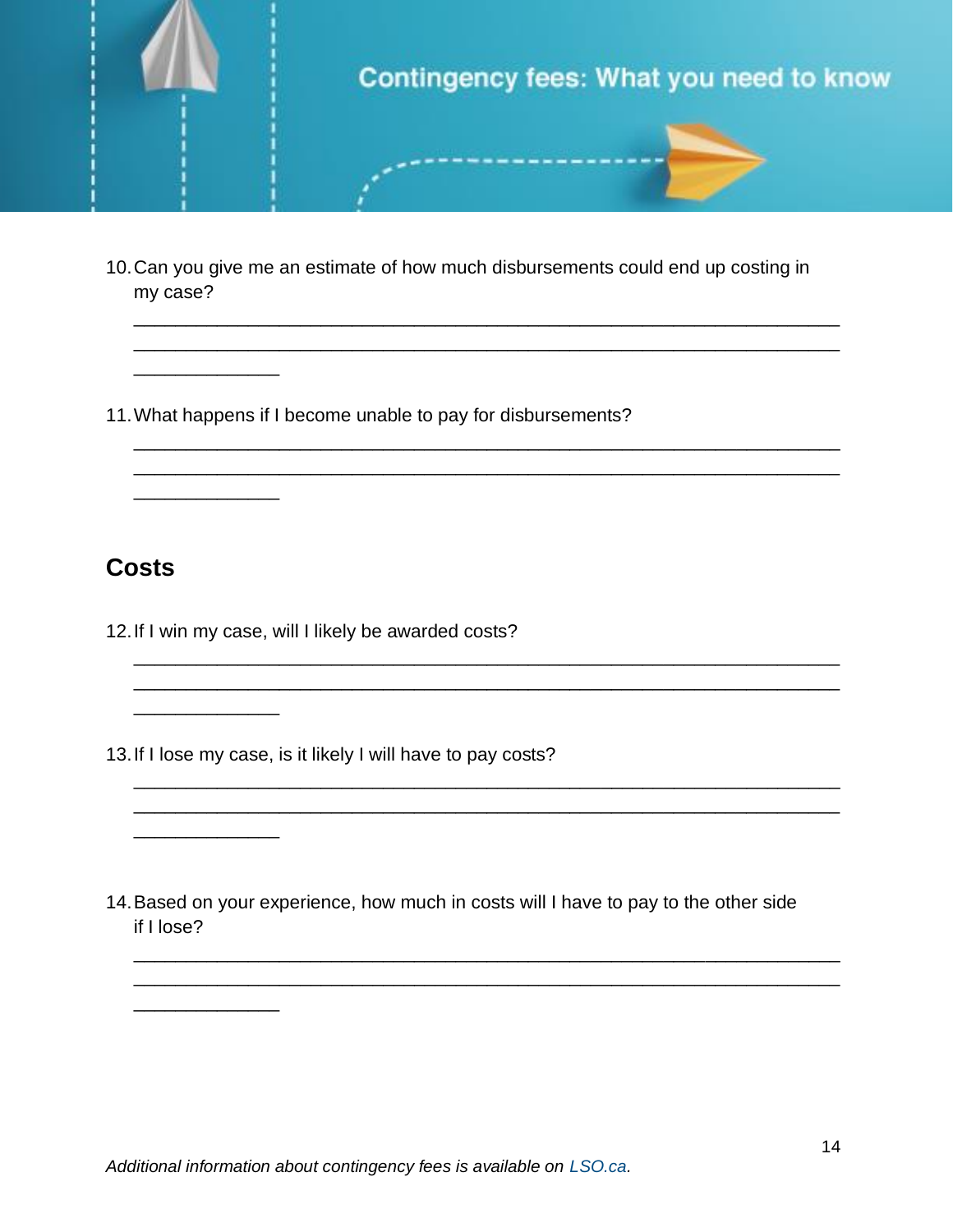

10.Can you give me an estimate of how much disbursements could end up costing in my case?

\_\_\_\_\_\_\_\_\_\_\_\_\_\_\_\_\_\_\_\_\_\_\_\_\_\_\_\_\_\_\_\_\_\_\_\_\_\_\_\_\_\_\_\_\_\_\_\_\_\_\_\_\_\_\_\_\_\_\_\_\_\_\_\_\_\_\_\_ \_\_\_\_\_\_\_\_\_\_\_\_\_\_\_\_\_\_\_\_\_\_\_\_\_\_\_\_\_\_\_\_\_\_\_\_\_\_\_\_\_\_\_\_\_\_\_\_\_\_\_\_\_\_\_\_\_\_\_\_\_\_\_\_\_\_\_\_

\_\_\_\_\_\_\_\_\_\_\_\_\_\_\_\_\_\_\_\_\_\_\_\_\_\_\_\_\_\_\_\_\_\_\_\_\_\_\_\_\_\_\_\_\_\_\_\_\_\_\_\_\_\_\_\_\_\_\_\_\_\_\_\_\_\_\_\_ \_\_\_\_\_\_\_\_\_\_\_\_\_\_\_\_\_\_\_\_\_\_\_\_\_\_\_\_\_\_\_\_\_\_\_\_\_\_\_\_\_\_\_\_\_\_\_\_\_\_\_\_\_\_\_\_\_\_\_\_\_\_\_\_\_\_\_\_

\_\_\_\_\_\_\_\_\_\_\_\_\_\_\_\_\_\_\_\_\_\_\_\_\_\_\_\_\_\_\_\_\_\_\_\_\_\_\_\_\_\_\_\_\_\_\_\_\_\_\_\_\_\_\_\_\_\_\_\_\_\_\_\_\_\_\_\_ \_\_\_\_\_\_\_\_\_\_\_\_\_\_\_\_\_\_\_\_\_\_\_\_\_\_\_\_\_\_\_\_\_\_\_\_\_\_\_\_\_\_\_\_\_\_\_\_\_\_\_\_\_\_\_\_\_\_\_\_\_\_\_\_\_\_\_\_

\_\_\_\_\_\_\_\_\_\_\_\_\_\_\_\_\_\_\_\_\_\_\_\_\_\_\_\_\_\_\_\_\_\_\_\_\_\_\_\_\_\_\_\_\_\_\_\_\_\_\_\_\_\_\_\_\_\_\_\_\_\_\_\_\_\_\_\_ \_\_\_\_\_\_\_\_\_\_\_\_\_\_\_\_\_\_\_\_\_\_\_\_\_\_\_\_\_\_\_\_\_\_\_\_\_\_\_\_\_\_\_\_\_\_\_\_\_\_\_\_\_\_\_\_\_\_\_\_\_\_\_\_\_\_\_\_

\_\_\_\_\_\_\_\_\_\_\_\_\_\_\_\_\_\_\_\_\_\_\_\_\_\_\_\_\_\_\_\_\_\_\_\_\_\_\_\_\_\_\_\_\_\_\_\_\_\_\_\_\_\_\_\_\_\_\_\_\_\_\_\_\_\_\_\_ \_\_\_\_\_\_\_\_\_\_\_\_\_\_\_\_\_\_\_\_\_\_\_\_\_\_\_\_\_\_\_\_\_\_\_\_\_\_\_\_\_\_\_\_\_\_\_\_\_\_\_\_\_\_\_\_\_\_\_\_\_\_\_\_\_\_\_\_

11.What happens if I become unable to pay for disbursements?

#### **Costs**

\_\_\_\_\_\_\_\_\_\_\_\_\_\_

\_\_\_\_\_\_\_\_\_\_\_\_\_\_

 $\overline{\phantom{a}}$  , where  $\overline{\phantom{a}}$  , where  $\overline{\phantom{a}}$  , where  $\overline{\phantom{a}}$ 

\_\_\_\_\_\_\_\_\_\_\_\_\_\_

\_\_\_\_\_\_\_\_\_\_\_\_\_\_

12.If I win my case, will I likely be awarded costs?

13.If I lose my case, is it likely I will have to pay costs?

14.Based on your experience, how much in costs will I have to pay to the other side if I lose?